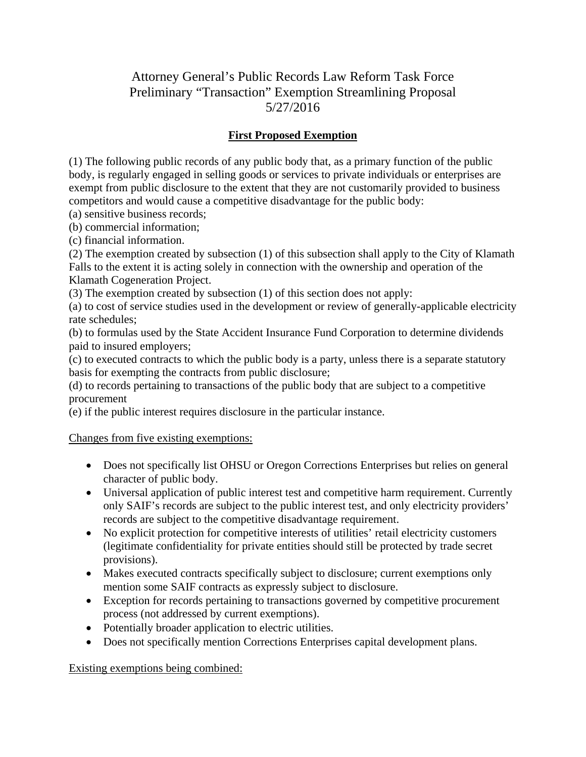# Attorney General's Public Records Law Reform Task Force Preliminary "Transaction" Exemption Streamlining Proposal 5/27/2016

### **First Proposed Exemption**

(1) The following public records of any public body that, as a primary function of the public body, is regularly engaged in selling goods or services to private individuals or enterprises are exempt from public disclosure to the extent that they are not customarily provided to business competitors and would cause a competitive disadvantage for the public body:

(a) sensitive business records;

(b) commercial information;

(c) financial information.

(2) The exemption created by subsection (1) of this subsection shall apply to the City of Klamath Falls to the extent it is acting solely in connection with the ownership and operation of the Klamath Cogeneration Project.

(3) The exemption created by subsection (1) of this section does not apply:

(a) to cost of service studies used in the development or review of generally-applicable electricity rate schedules;

(b) to formulas used by the State Accident Insurance Fund Corporation to determine dividends paid to insured employers;

(c) to executed contracts to which the public body is a party, unless there is a separate statutory basis for exempting the contracts from public disclosure;

(d) to records pertaining to transactions of the public body that are subject to a competitive procurement

(e) if the public interest requires disclosure in the particular instance.

Changes from five existing exemptions:

- Does not specifically list OHSU or Oregon Corrections Enterprises but relies on general character of public body.
- Universal application of public interest test and competitive harm requirement. Currently only SAIF's records are subject to the public interest test, and only electricity providers' records are subject to the competitive disadvantage requirement.
- No explicit protection for competitive interests of utilities' retail electricity customers (legitimate confidentiality for private entities should still be protected by trade secret provisions).
- Makes executed contracts specifically subject to disclosure; current exemptions only mention some SAIF contracts as expressly subject to disclosure.
- Exception for records pertaining to transactions governed by competitive procurement process (not addressed by current exemptions).
- Potentially broader application to electric utilities.
- Does not specifically mention Corrections Enterprises capital development plans.

Existing exemptions being combined: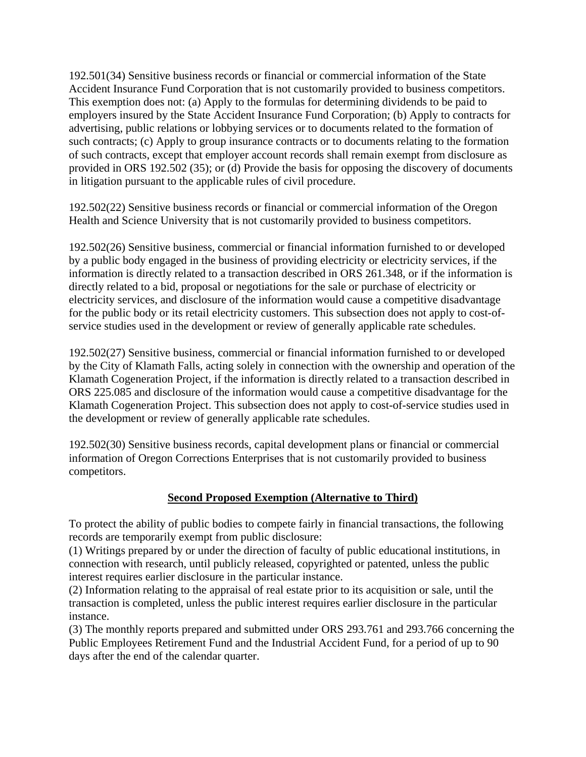192.501(34) Sensitive business records or financial or commercial information of the State Accident Insurance Fund Corporation that is not customarily provided to business competitors. This exemption does not: (a) Apply to the formulas for determining dividends to be paid to employers insured by the State Accident Insurance Fund Corporation; (b) Apply to contracts for advertising, public relations or lobbying services or to documents related to the formation of such contracts; (c) Apply to group insurance contracts or to documents relating to the formation of such contracts, except that employer account records shall remain exempt from disclosure as provided in ORS 192.502 (35); or (d) Provide the basis for opposing the discovery of documents in litigation pursuant to the applicable rules of civil procedure.

192.502(22) Sensitive business records or financial or commercial information of the Oregon Health and Science University that is not customarily provided to business competitors.

192.502(26) Sensitive business, commercial or financial information furnished to or developed by a public body engaged in the business of providing electricity or electricity services, if the information is directly related to a transaction described in ORS 261.348, or if the information is directly related to a bid, proposal or negotiations for the sale or purchase of electricity or electricity services, and disclosure of the information would cause a competitive disadvantage for the public body or its retail electricity customers. This subsection does not apply to cost-ofservice studies used in the development or review of generally applicable rate schedules.

192.502(27) Sensitive business, commercial or financial information furnished to or developed by the City of Klamath Falls, acting solely in connection with the ownership and operation of the Klamath Cogeneration Project, if the information is directly related to a transaction described in ORS 225.085 and disclosure of the information would cause a competitive disadvantage for the Klamath Cogeneration Project. This subsection does not apply to cost-of-service studies used in the development or review of generally applicable rate schedules.

192.502(30) Sensitive business records, capital development plans or financial or commercial information of Oregon Corrections Enterprises that is not customarily provided to business competitors.

#### **Second Proposed Exemption (Alternative to Third)**

To protect the ability of public bodies to compete fairly in financial transactions, the following records are temporarily exempt from public disclosure:

(1) Writings prepared by or under the direction of faculty of public educational institutions, in connection with research, until publicly released, copyrighted or patented, unless the public interest requires earlier disclosure in the particular instance.

(2) Information relating to the appraisal of real estate prior to its acquisition or sale, until the transaction is completed, unless the public interest requires earlier disclosure in the particular instance.

(3) The monthly reports prepared and submitted under ORS 293.761 and 293.766 concerning the Public Employees Retirement Fund and the Industrial Accident Fund, for a period of up to 90 days after the end of the calendar quarter.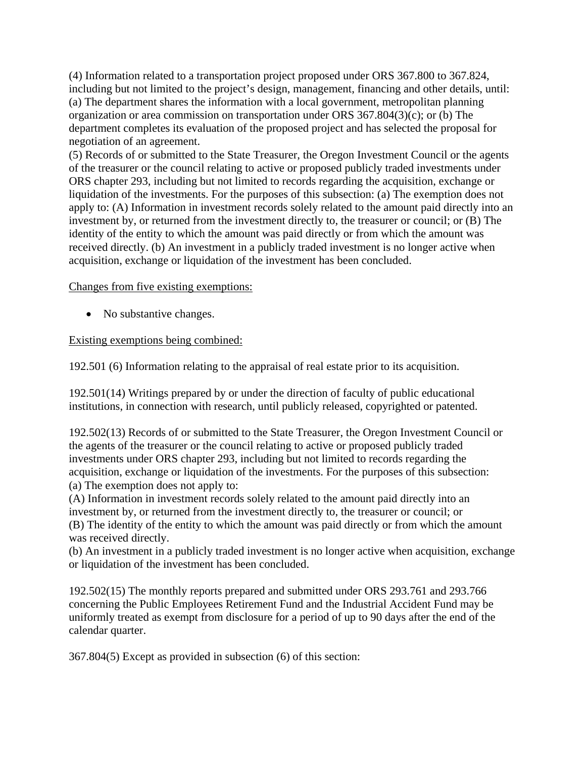(4) Information related to a transportation project proposed under ORS 367.800 to 367.824, including but not limited to the project's design, management, financing and other details, until: (a) The department shares the information with a local government, metropolitan planning organization or area commission on transportation under ORS 367.804(3)(c); or (b) The department completes its evaluation of the proposed project and has selected the proposal for negotiation of an agreement.

(5) Records of or submitted to the State Treasurer, the Oregon Investment Council or the agents of the treasurer or the council relating to active or proposed publicly traded investments under ORS chapter 293, including but not limited to records regarding the acquisition, exchange or liquidation of the investments. For the purposes of this subsection: (a) The exemption does not apply to: (A) Information in investment records solely related to the amount paid directly into an investment by, or returned from the investment directly to, the treasurer or council; or (B) The identity of the entity to which the amount was paid directly or from which the amount was received directly. (b) An investment in a publicly traded investment is no longer active when acquisition, exchange or liquidation of the investment has been concluded.

#### Changes from five existing exemptions:

• No substantive changes.

#### Existing exemptions being combined:

192.501 (6) Information relating to the appraisal of real estate prior to its acquisition.

192.501(14) Writings prepared by or under the direction of faculty of public educational institutions, in connection with research, until publicly released, copyrighted or patented.

192.502(13) Records of or submitted to the State Treasurer, the Oregon Investment Council or the agents of the treasurer or the council relating to active or proposed publicly traded investments under ORS chapter 293, including but not limited to records regarding the acquisition, exchange or liquidation of the investments. For the purposes of this subsection: (a) The exemption does not apply to:

(A) Information in investment records solely related to the amount paid directly into an investment by, or returned from the investment directly to, the treasurer or council; or (B) The identity of the entity to which the amount was paid directly or from which the amount was received directly.

(b) An investment in a publicly traded investment is no longer active when acquisition, exchange or liquidation of the investment has been concluded.

192.502(15) The monthly reports prepared and submitted under ORS 293.761 and 293.766 concerning the Public Employees Retirement Fund and the Industrial Accident Fund may be uniformly treated as exempt from disclosure for a period of up to 90 days after the end of the calendar quarter.

367.804(5) Except as provided in subsection (6) of this section: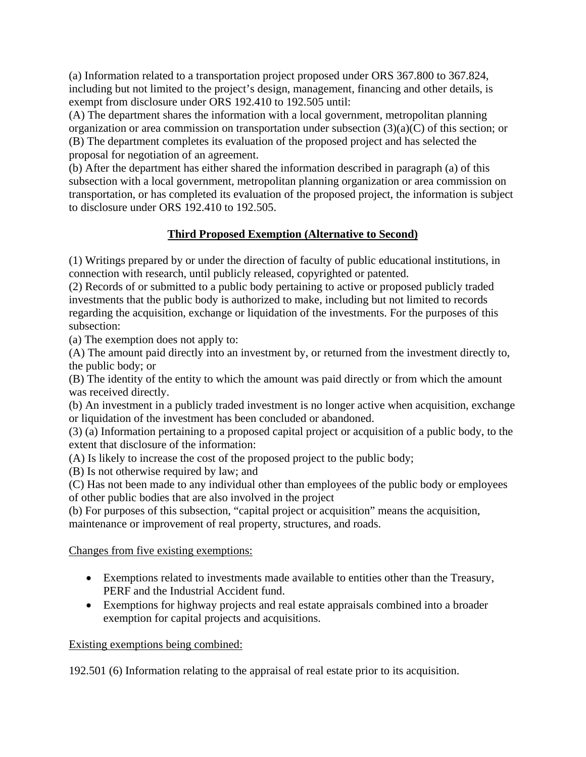(a) Information related to a transportation project proposed under ORS 367.800 to 367.824, including but not limited to the project's design, management, financing and other details, is exempt from disclosure under ORS 192.410 to 192.505 until:

(A) The department shares the information with a local government, metropolitan planning organization or area commission on transportation under subsection (3)(a)(C) of this section; or (B) The department completes its evaluation of the proposed project and has selected the proposal for negotiation of an agreement.

(b) After the department has either shared the information described in paragraph (a) of this subsection with a local government, metropolitan planning organization or area commission on transportation, or has completed its evaluation of the proposed project, the information is subject to disclosure under ORS 192.410 to 192.505.

# **Third Proposed Exemption (Alternative to Second)**

(1) Writings prepared by or under the direction of faculty of public educational institutions, in connection with research, until publicly released, copyrighted or patented.

(2) Records of or submitted to a public body pertaining to active or proposed publicly traded investments that the public body is authorized to make, including but not limited to records regarding the acquisition, exchange or liquidation of the investments. For the purposes of this subsection:

(a) The exemption does not apply to:

(A) The amount paid directly into an investment by, or returned from the investment directly to, the public body; or

(B) The identity of the entity to which the amount was paid directly or from which the amount was received directly.

(b) An investment in a publicly traded investment is no longer active when acquisition, exchange or liquidation of the investment has been concluded or abandoned.

(3) (a) Information pertaining to a proposed capital project or acquisition of a public body, to the extent that disclosure of the information:

(A) Is likely to increase the cost of the proposed project to the public body;

(B) Is not otherwise required by law; and

(C) Has not been made to any individual other than employees of the public body or employees of other public bodies that are also involved in the project

(b) For purposes of this subsection, "capital project or acquisition" means the acquisition, maintenance or improvement of real property, structures, and roads.

# Changes from five existing exemptions:

- Exemptions related to investments made available to entities other than the Treasury, PERF and the Industrial Accident fund.
- Exemptions for highway projects and real estate appraisals combined into a broader exemption for capital projects and acquisitions.

# Existing exemptions being combined:

192.501 (6) Information relating to the appraisal of real estate prior to its acquisition.